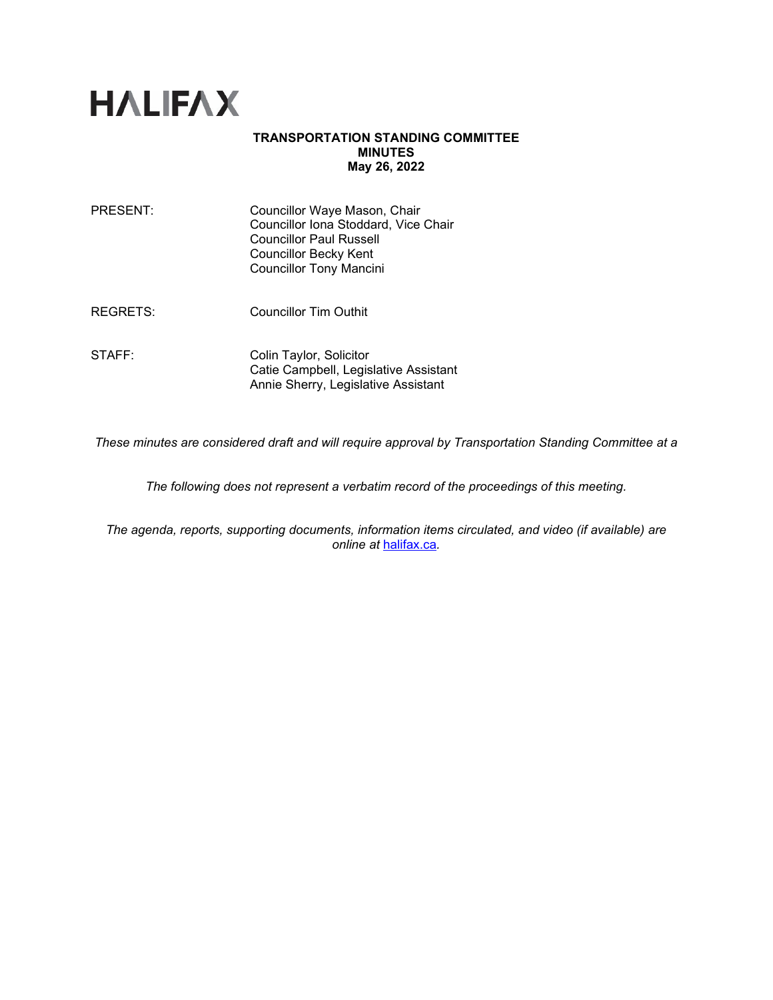

# **TRANSPORTATION STANDING COMMITTEE MINUTES May 26, 2022**

| PRESENT: | Councillor Waye Mason, Chair         |
|----------|--------------------------------------|
|          | Councillor Iona Stoddard, Vice Chair |
|          | <b>Councillor Paul Russell</b>       |
|          | Councillor Becky Kent                |
|          | <b>Councillor Tony Mancini</b>       |
|          |                                      |
|          |                                      |

REGRETS: Councillor Tim Outhit

STAFF: Colin Taylor, Solicitor Catie Campbell, Legislative Assistant Annie Sherry, Legislative Assistant

*These minutes are considered draft and will require approval by Transportation Standing Committee at a* 

*The following does not represent a verbatim record of the proceedings of this meeting.*

*The agenda, reports, supporting documents, information items circulated, and video (if available) are online at* [halifax.ca](http://www.halifax.ca/)*.*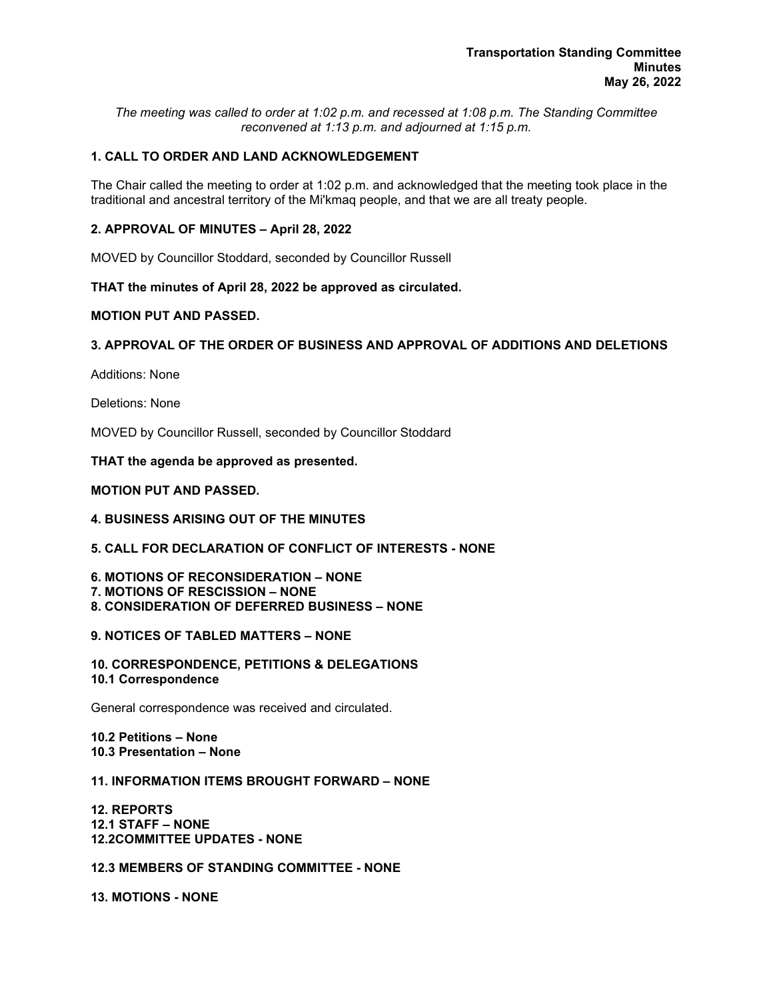*The meeting was called to order at 1:02 p.m. and recessed at 1:08 p.m. The Standing Committee reconvened at 1:13 p.m. and adjourned at 1:15 p.m.*

# **1. CALL TO ORDER AND LAND ACKNOWLEDGEMENT**

The Chair called the meeting to order at 1:02 p.m. and acknowledged that the meeting took place in the traditional and ancestral territory of the Mi'kmaq people, and that we are all treaty people.

# **2. APPROVAL OF MINUTES – April 28, 2022**

MOVED by Councillor Stoddard, seconded by Councillor Russell

# **THAT the minutes of April 28, 2022 be approved as circulated.**

# **MOTION PUT AND PASSED.**

# **3. APPROVAL OF THE ORDER OF BUSINESS AND APPROVAL OF ADDITIONS AND DELETIONS**

Additions: None

Deletions: None

MOVED by Councillor Russell, seconded by Councillor Stoddard

**THAT the agenda be approved as presented.** 

#### **MOTION PUT AND PASSED.**

# **4. BUSINESS ARISING OUT OF THE MINUTES**

## **5. CALL FOR DECLARATION OF CONFLICT OF INTERESTS - NONE**

- **6. MOTIONS OF RECONSIDERATION – NONE**
- **7. MOTIONS OF RESCISSION – NONE**
- **8. CONSIDERATION OF DEFERRED BUSINESS – NONE**

#### **9. NOTICES OF TABLED MATTERS – NONE**

**10. CORRESPONDENCE, PETITIONS & DELEGATIONS 10.1 Correspondence**

General correspondence was received and circulated.

**10.2 Petitions – None 10.3 Presentation – None**

#### **11. INFORMATION ITEMS BROUGHT FORWARD – NONE**

**12. REPORTS 12.1 STAFF – NONE 12.2COMMITTEE UPDATES - NONE**

# **12.3 MEMBERS OF STANDING COMMITTEE - NONE**

**13. MOTIONS - NONE**